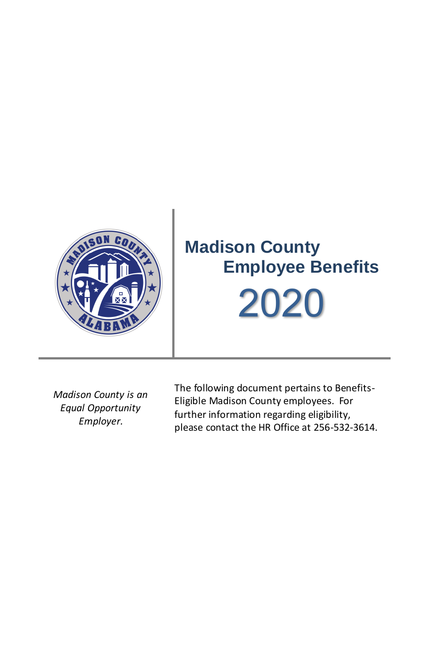

*Madison County is an Equal Opportunity Employer.*

The following document pertains to Benefits-Eligible Madison County employees. For further information regarding eligibility, please contact the HR Office at 256-532-3614.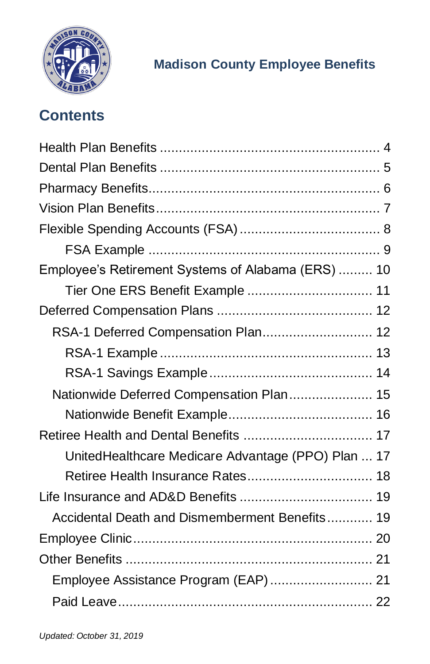

# **Contents**

| Employee's Retirement Systems of Alabama (ERS)  10 |
|----------------------------------------------------|
| Tier One ERS Benefit Example  11                   |
|                                                    |
| RSA-1 Deferred Compensation Plan 12                |
|                                                    |
|                                                    |
| Nationwide Deferred Compensation Plan 15           |
|                                                    |
| Retiree Health and Dental Benefits  17             |
| UnitedHealthcare Medicare Advantage (PPO) Plan  17 |
|                                                    |
|                                                    |
| Accidental Death and Dismemberment Benefits 19     |
|                                                    |
|                                                    |
| Employee Assistance Program (EAP) 21               |
|                                                    |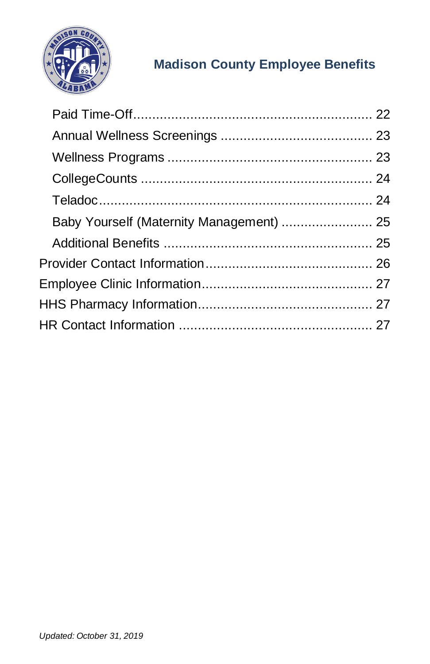

| Baby Yourself (Maternity Management)  25 |  |
|------------------------------------------|--|
|                                          |  |
|                                          |  |
|                                          |  |
|                                          |  |
|                                          |  |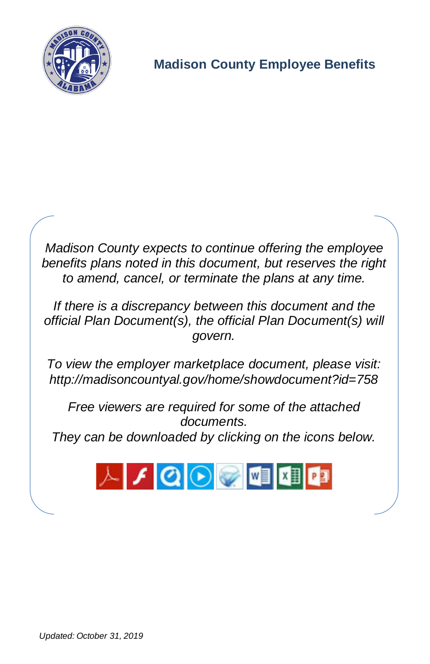

*Madison County expects to continue offering the employee benefits plans noted in this document, but reserves the right to amend, cancel, or terminate the plans at any time.*

*If there is a discrepancy between this document and the official Plan Document(s), the official Plan Document(s) will govern.*

*To view the employer marketplace document, please visit: <http://madisoncountyal.gov/home/showdocument?id=758>*

*Free viewers are required for some of the attached documents. They can be downloaded by clicking on the icons below.*

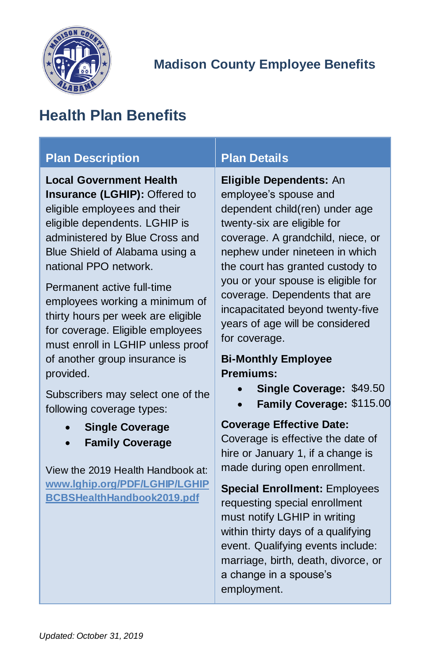

# <span id="page-4-0"></span>**Health Plan Benefits**

#### **Plan Description Plan Details**

**Local Government Health Insurance (LGHIP):** Offered to eligible employees and their eligible dependents. LGHIP is administered by Blue Cross and Blue Shield of Alabama using a national PPO network.

Permanent active full-time employees working a minimum of thirty hours per week are eligible for coverage. Eligible employees must enroll in LGHIP unless proof of another group insurance is provided.

Subscribers may select one of the following coverage types:

- **Single Coverage**
- **Family Coverage**

View the 2019 Health Handbook at: **[www.lghip.org/PDF/LGHIP/LGHIP](http://www.lghip.org/PDF/LGHIP/LGHIPBCBSHealthHandbook2019.pdf) [BCBSHealthHandbook2019.pdf](http://www.lghip.org/PDF/LGHIP/LGHIPBCBSHealthHandbook2019.pdf)**

**Eligible Dependents:** An employee's spouse and dependent child(ren) under age twenty-six are eligible for coverage. A grandchild, niece, or nephew under nineteen in which the court has granted custody to you or your spouse is eligible for coverage. Dependents that are incapacitated beyond twenty-five years of age will be considered for coverage.

#### **Bi-Monthly Employee Premiums:**

- **Single Coverage:** \$49.50
- **Family Coverage:** \$115.00

#### **Coverage Effective Date:**

Coverage is effective the date of hire or January 1, if a change is made during open enrollment.

**Special Enrollment:** Employees requesting special enrollment must notify LGHIP in writing within thirty days of a qualifying event. Qualifying events include: marriage, birth, death, divorce, or a change in a spouse's employment.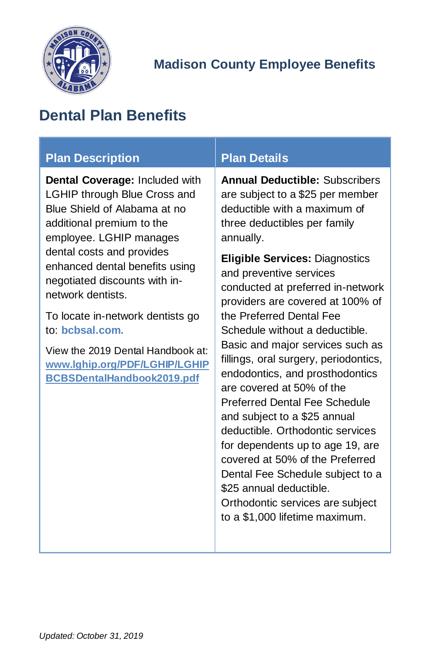

# <span id="page-5-0"></span>**Dental Plan Benefits**

| <b>Plan Description</b>                                                                                                                                       | <b>Plan Details</b>                                                                                                                                    |
|---------------------------------------------------------------------------------------------------------------------------------------------------------------|--------------------------------------------------------------------------------------------------------------------------------------------------------|
| Dental Coverage: Included with<br><b>LGHIP through Blue Cross and</b><br>Blue Shield of Alabama at no<br>additional premium to the<br>employee. LGHIP manages | <b>Annual Deductible: Subscribers</b><br>are subject to a \$25 per member<br>deductible with a maximum of<br>three deductibles per family<br>annually. |
| dental costs and provides<br>enhanced dental benefits using<br>negotiated discounts with in-<br>network dentists.                                             | <b>Eligible Services: Diagnostics</b><br>and preventive services<br>conducted at preferred in-network<br>providers are covered at 100% of              |
| To locate in-network dentists go<br>to: bcbsal.com.                                                                                                           | the Preferred Dental Fee<br>Schedule without a deductible.                                                                                             |
| View the 2019 Dental Handbook at:<br>www.lghip.org/PDF/LGHIP/LGHIP<br><b>BCBSDentalHandbook2019.pdf</b>                                                       | Basic and major services such as<br>fillings, oral surgery, periodontics,<br>endodontics, and prosthodontics<br>are covered at 50% of the              |
|                                                                                                                                                               | <b>Preferred Dental Fee Schedule</b><br>and subject to a \$25 annual                                                                                   |
|                                                                                                                                                               | deductible. Orthodontic services                                                                                                                       |
|                                                                                                                                                               | for dependents up to age 19, are<br>covered at 50% of the Preferred                                                                                    |
|                                                                                                                                                               | Dental Fee Schedule subject to a<br>\$25 annual deductible.                                                                                            |
|                                                                                                                                                               | Orthodontic services are subject                                                                                                                       |
|                                                                                                                                                               | to a \$1,000 lifetime maximum.                                                                                                                         |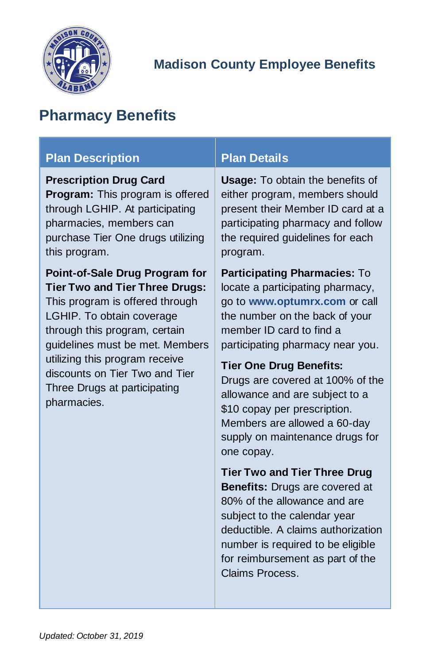

# <span id="page-6-0"></span>**Pharmacy Benefits**

| <b>Plan Description</b>                                                                                                                                                                                                                                                                                                        | <b>Plan Details</b>                                                                                                                                                                                                                                                                                                                                                                                                          |  |
|--------------------------------------------------------------------------------------------------------------------------------------------------------------------------------------------------------------------------------------------------------------------------------------------------------------------------------|------------------------------------------------------------------------------------------------------------------------------------------------------------------------------------------------------------------------------------------------------------------------------------------------------------------------------------------------------------------------------------------------------------------------------|--|
| <b>Prescription Drug Card</b><br>Program: This program is offered<br>through LGHIP. At participating<br>pharmacies, members can<br>purchase Tier One drugs utilizing<br>this program.                                                                                                                                          | <b>Usage:</b> To obtain the benefits of<br>either program, members should<br>present their Member ID card at a<br>participating pharmacy and follow<br>the required guidelines for each<br>program.                                                                                                                                                                                                                          |  |
| Point-of-Sale Drug Program for<br><b>Tier Two and Tier Three Drugs:</b><br>This program is offered through<br>LGHIP. To obtain coverage<br>through this program, certain<br>guidelines must be met. Members<br>utilizing this program receive<br>discounts on Tier Two and Tier<br>Three Drugs at participating<br>pharmacies. | Participating Pharmacies: To<br>locate a participating pharmacy,<br>go to www.optumrx.com or call<br>the number on the back of your<br>member ID card to find a<br>participating pharmacy near you.<br><b>Tier One Drug Benefits:</b><br>Drugs are covered at 100% of the<br>allowance and are subject to a<br>\$10 copay per prescription.<br>Members are allowed a 60-day<br>supply on maintenance drugs for<br>one copay. |  |
|                                                                                                                                                                                                                                                                                                                                | <b>Tier Two and Tier Three Drug</b><br><b>Benefits: Drugs are covered at</b><br>80% of the allowance and are<br>subject to the calendar year<br>deductible. A claims authorization<br>number is required to be eligible<br>for reimbursement as part of the<br>Claims Process.                                                                                                                                               |  |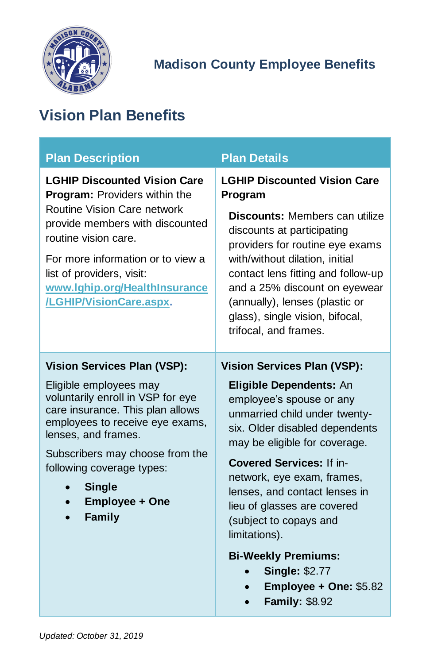

# <span id="page-7-0"></span>**Vision Plan Benefits**

| <b>Plan Description</b>                                                                                                                                                                                                                                                                                                   | <b>Plan Details</b>                                                                                                                                                                                                                                                                                                                                                       |
|---------------------------------------------------------------------------------------------------------------------------------------------------------------------------------------------------------------------------------------------------------------------------------------------------------------------------|---------------------------------------------------------------------------------------------------------------------------------------------------------------------------------------------------------------------------------------------------------------------------------------------------------------------------------------------------------------------------|
| <b>LGHIP Discounted Vision Care</b><br>Program: Providers within the<br>Routine Vision Care network<br>provide members with discounted<br>routine vision care.<br>For more information or to view a<br>list of providers, visit:<br>www.lghip.org/HealthInsurance<br>/LGHIP/VisionCare.aspx.                              | <b>LGHIP Discounted Vision Care</b><br>Program<br>Discounts: Members can utilize<br>discounts at participating<br>providers for routine eye exams<br>with/without dilation, initial<br>contact lens fitting and follow-up<br>and a 25% discount on eyewear<br>(annually), lenses (plastic or<br>glass), single vision, bifocal,<br>trifocal, and frames.                  |
| <b>Vision Services Plan (VSP):</b><br>Eligible employees may<br>voluntarily enroll in VSP for eye<br>care insurance. This plan allows<br>employees to receive eye exams,<br>lenses, and frames.<br>Subscribers may choose from the<br>following coverage types:<br><b>Single</b><br>Employee + One<br>$\bullet$<br>Family | <b>Vision Services Plan (VSP):</b><br>Eligible Dependents: An<br>employee's spouse or any<br>unmarried child under twenty-<br>six. Older disabled dependents<br>may be eligible for coverage.<br><b>Covered Services: If in-</b><br>network, eye exam, frames,<br>lenses, and contact lenses in<br>lieu of glasses are covered<br>(subject to copays and<br>limitations). |
|                                                                                                                                                                                                                                                                                                                           | <b>Bi-Weekly Premiums:</b><br><b>Single: \$2.77</b><br>Employee + One: \$5.82<br><b>Family: \$8.92</b>                                                                                                                                                                                                                                                                    |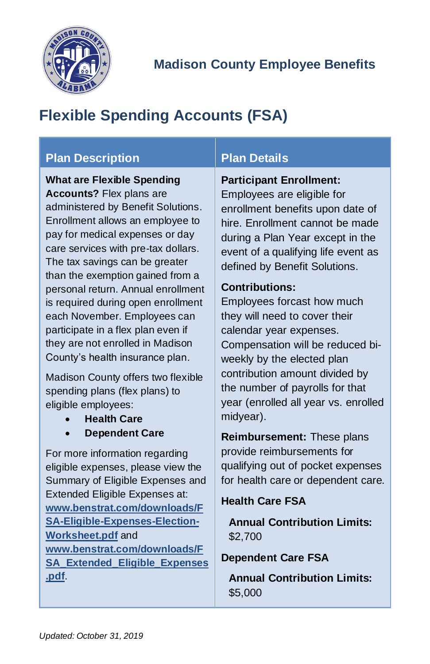

# <span id="page-8-0"></span>**Flexible Spending Accounts (FSA)**

### **Plan Description Plan Details**

**What are Flexible Spending Accounts?** Flex plans are administered by Benefit Solutions. Enrollment allows an employee to pay for medical expenses or day care services with pre-tax dollars. The tax savings can be greater than the exemption gained from a personal return. Annual enrollment is required during open enrollment each November. Employees can participate in a flex plan even if they are not enrolled in Madison County's health insurance plan.

Madison County offers two flexible spending plans (flex plans) to eligible employees:

- **Health Care**
- **Dependent Care**

For more information regarding eligible expenses, please view the Summary of Eligible Expenses and Extended Eligible Expenses at: **[www.benstrat.com/downloads/F](https://www.benstrat.com/downloads/FSA-Eligible-Expenses-Election-Worksheet.pdf) [SA-Eligible-Expenses-Election-](https://www.benstrat.com/downloads/FSA-Eligible-Expenses-Election-Worksheet.pdf)[Worksheet.pdf](https://www.benstrat.com/downloads/FSA-Eligible-Expenses-Election-Worksheet.pdf)** and **[www.benstrat.com/downloads/F](https://www.benstrat.com/downloads/FSA_Extended_Eligible_Expenses.pdf) [SA\\_Extended\\_Eligible\\_Expenses](https://www.benstrat.com/downloads/FSA_Extended_Eligible_Expenses.pdf) [.pdf](https://www.benstrat.com/downloads/FSA_Extended_Eligible_Expenses.pdf)**.

#### **Participant Enrollment:**

Employees are eligible for enrollment benefits upon date of hire. Enrollment cannot be made during a Plan Year except in the event of a qualifying life event as defined by Benefit Solutions.

#### **Contributions:**

Employees forcast how much they will need to cover their calendar year expenses. Compensation will be reduced biweekly by the elected plan contribution amount divided by the number of payrolls for that year (enrolled all year vs. enrolled midyear).

**Reimbursement:** These plans provide reimbursements for qualifying out of pocket expenses for health care or dependent care.

#### **Health Care FSA**

**Annual Contribution Limits:** \$2,700

#### **Dependent Care FSA**

**Annual Contribution Limits:** \$5,000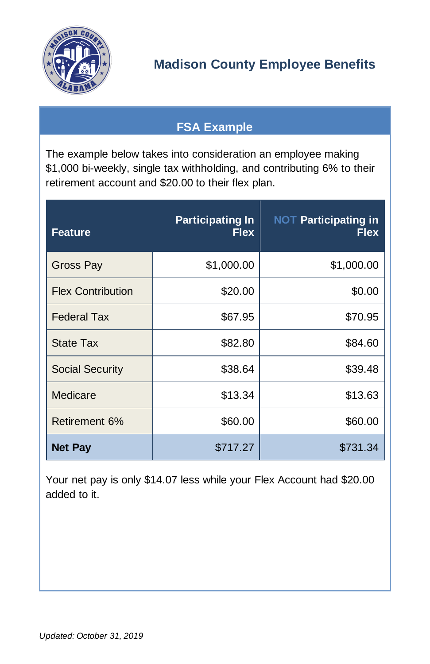

## **FSA Example**

<span id="page-9-0"></span>The example below takes into consideration an employee making \$1,000 bi-weekly, single tax withholding, and contributing 6% to their retirement account and \$20.00 to their flex plan.

| <b>Feature</b>           | <b>Participating In</b><br><b>Flex</b> | <b>NOT Participating in</b><br><b>Flex</b> |
|--------------------------|----------------------------------------|--------------------------------------------|
| Gross Pay                | \$1,000.00                             | \$1,000.00                                 |
| <b>Flex Contribution</b> | \$20.00                                | \$0.00                                     |
| <b>Federal Tax</b>       | \$67.95                                | \$70.95                                    |
| State Tax                | \$82.80                                | \$84.60                                    |
| Social Security          | \$38.64                                | \$39.48                                    |
| Medicare                 | \$13.34                                | \$13.63                                    |
| Retirement 6%            | \$60.00                                | \$60.00                                    |
| <b>Net Pay</b>           | \$717.27                               | \$731.34                                   |

Your net pay is only \$14.07 less while your Flex Account had \$20.00 added to it.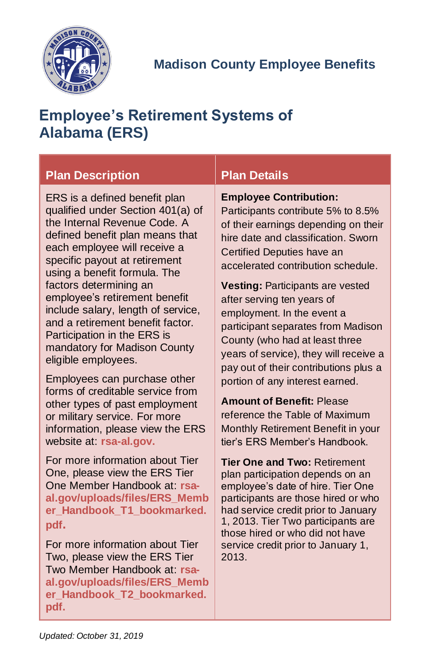

# <span id="page-10-0"></span>**Employee's Retirement Systems of Alabama (ERS)**

### **Plan Description Plan Details**

ERS is a defined benefit plan qualified under Section 401(a) of the Internal Revenue Code. A defined benefit plan means that each employee will receive a specific payout at retirement using a benefit formula. The factors determining an employee's retirement benefit include salary, length of service, and a retirement benefit factor. Participation in the ERS is mandatory for Madison County eligible employees.

Employees can purchase other forms of creditable service from other types of past employment or military service. For more information, please view the ERS website at: **[rsa-al.gov.](http://www.rsa-al.gov/)**

For more information about Tier One, please view the ERS Tier One Member Handbook at: **[rsa](http://www.rsa-al.gov/uploads/files/ERS_Member_Handbook_T1_bookmarked.pdf)[al.gov/uploads/files/ERS\\_Memb](http://www.rsa-al.gov/uploads/files/ERS_Member_Handbook_T1_bookmarked.pdf) [er\\_Handbook\\_T1\\_bookmarked.](http://www.rsa-al.gov/uploads/files/ERS_Member_Handbook_T1_bookmarked.pdf) [pdf](http://www.rsa-al.gov/uploads/files/ERS_Member_Handbook_T1_bookmarked.pdf).**

For more information about Tier Two, please view the ERS Tier Two Member Handbook at: **[rsa](https://www.rsa-al.gov/uploads/files/ERS_Member_Handbook_T2_bookmarked.pdf)[al.gov/uploads/files/ERS\\_Memb](https://www.rsa-al.gov/uploads/files/ERS_Member_Handbook_T2_bookmarked.pdf) [er\\_Handbook\\_T2\\_bookmarked.](https://www.rsa-al.gov/uploads/files/ERS_Member_Handbook_T2_bookmarked.pdf) [pdf.](https://www.rsa-al.gov/uploads/files/ERS_Member_Handbook_T2_bookmarked.pdf)**

#### **Employee Contribution:**

Participants contribute 5% to 8.5% of their earnings depending on their hire date and classification. Sworn Certified Deputies have an accelerated contribution schedule.

**Vesting:** Participants are vested after serving ten years of employment. In the event a participant separates from Madison County (who had at least three years of service), they will receive a pay out of their contributions plus a portion of any interest earned.

**Amount of Benefit:** Please reference the Table of Maximum Monthly Retirement Benefit in your tier's ERS Member's Handbook.

**Tier One and Two:** Retirement plan participation depends on an employee's date of hire. Tier One participants are those hired or who had service credit prior to January 1, 2013. Tier Two participants are those hired or who did not have service credit prior to January 1, 2013.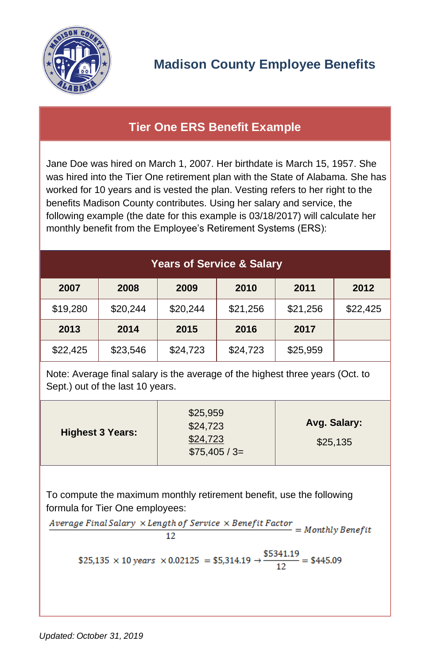

### <span id="page-11-0"></span>**Tier One ERS Benefit Example**

Jane Doe was hired on March 1, 2007. Her birthdate is March 15, 1957. She was hired into the Tier One retirement plan with the State of Alabama. She has worked for 10 years and is vested the plan. Vesting refers to her right to the benefits Madison County contributes. Using her salary and service, the following example (the date for this example is 03/18/2017) will calculate her monthly benefit from the Employee's Retirement Systems (ERS):

| <b>Years of Service &amp; Salary</b>                                                                              |          |          |          |          |  |
|-------------------------------------------------------------------------------------------------------------------|----------|----------|----------|----------|--|
| 2008                                                                                                              | 2009     | 2010     | 2011     | 2012     |  |
| \$20,244                                                                                                          | \$20,244 | \$21,256 | \$21,256 | \$22,425 |  |
| 2014                                                                                                              | 2015     | 2016     | 2017     |          |  |
| \$23,546                                                                                                          | \$24,723 | \$24,723 | \$25,959 |          |  |
| Note: Average final salary is the average of the highest three years (Oct. to<br>Sept.) out of the last 10 years. |          |          |          |          |  |
|                                                                                                                   |          |          |          |          |  |

|                         | \$25,959<br>\$24,723     | Avg. Salary: |
|-------------------------|--------------------------|--------------|
| <b>Highest 3 Years:</b> | \$24,723<br>$$75,405/3=$ | \$25,135     |

To compute the maximum monthly retirement benefit, use the following formula for Tier One employees:<br> $Average \; Final \; Salary \; \times Length \; of \; Service \; \times Benefit \; Factor = Monthly \; Benefit$ 

12

\$25,135 × 10 years × 0.02125 = \$5,314.19 → 
$$
\frac{$5341.19}{12} = $445.09
$$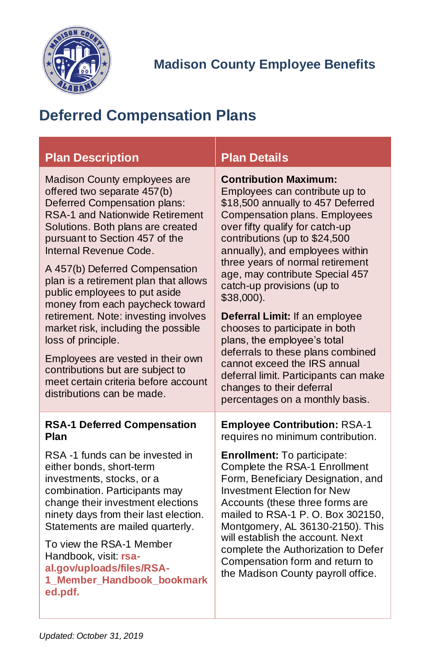

# <span id="page-12-0"></span>**Deferred Compensation Plans**

<span id="page-12-1"></span>

| <b>Plan Description</b>                                                                                                                                                                                                                                                                                                                                                                                                                                                                                                                                                                                                                   | <b>Plan Details</b>                                                                                                                                                                                                                                                                                                                                                                                                                                                                                                                                                                                                                               |
|-------------------------------------------------------------------------------------------------------------------------------------------------------------------------------------------------------------------------------------------------------------------------------------------------------------------------------------------------------------------------------------------------------------------------------------------------------------------------------------------------------------------------------------------------------------------------------------------------------------------------------------------|---------------------------------------------------------------------------------------------------------------------------------------------------------------------------------------------------------------------------------------------------------------------------------------------------------------------------------------------------------------------------------------------------------------------------------------------------------------------------------------------------------------------------------------------------------------------------------------------------------------------------------------------------|
| Madison County employees are<br>offered two separate 457(b)<br>Deferred Compensation plans:<br><b>RSA-1 and Nationwide Retirement</b><br>Solutions. Both plans are created<br>pursuant to Section 457 of the<br>Internal Revenue Code.<br>A 457(b) Deferred Compensation<br>plan is a retirement plan that allows<br>public employees to put aside<br>money from each paycheck toward<br>retirement. Note: investing involves<br>market risk, including the possible<br>loss of principle.<br>Employees are vested in their own<br>contributions but are subject to<br>meet certain criteria before account<br>distributions can be made. | <b>Contribution Maximum:</b><br>Employees can contribute up to<br>\$18,500 annually to 457 Deferred<br>Compensation plans. Employees<br>over fifty qualify for catch-up<br>contributions (up to \$24,500<br>annually), and employees within<br>three years of normal retirement<br>age, may contribute Special 457<br>catch-up provisions (up to<br>$$38,000$ ).<br>Deferral Limit: If an employee<br>chooses to participate in both<br>plans, the employee's total<br>deferrals to these plans combined<br>cannot exceed the IRS annual<br>deferral limit. Participants can make<br>changes to their deferral<br>percentages on a monthly basis. |
| <b>RSA-1 Deferred Compensation</b><br>Plan                                                                                                                                                                                                                                                                                                                                                                                                                                                                                                                                                                                                | <b>Employee Contribution: RSA-1</b><br>requires no minimum contribution.                                                                                                                                                                                                                                                                                                                                                                                                                                                                                                                                                                          |
| RSA-1 funds can be invested in<br>either bonds, short-term<br>investments, stocks, or a<br>combination. Participants may<br>change their investment elections<br>ninety days from their last election.<br>Statements are mailed quarterly.<br>To view the RSA-1 Member                                                                                                                                                                                                                                                                                                                                                                    | Enrollment: To participate:<br>Complete the RSA-1 Enrollment<br>Form, Beneficiary Designation, and<br><b>Investment Election for New</b><br>Accounts (these three forms are<br>mailed to RSA-1 P. O. Box 302150,<br>Montgomery, AL 36130-2150). This<br>will establish the account. Next                                                                                                                                                                                                                                                                                                                                                          |
| Handbook, visit: rsa-<br>al.gov/uploads/files/RSA-<br>1 Member Handbook bookmark<br>ed.pdf.                                                                                                                                                                                                                                                                                                                                                                                                                                                                                                                                               | complete the Authorization to Defer<br>Compensation form and return to<br>the Madison County payroll office.                                                                                                                                                                                                                                                                                                                                                                                                                                                                                                                                      |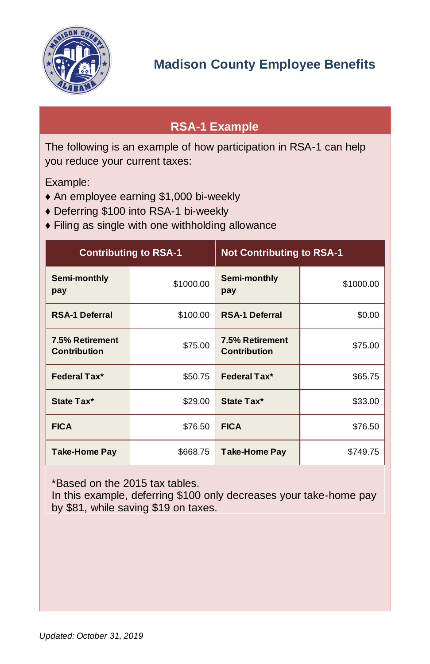

## <span id="page-13-0"></span>**RSA-1 Example**

The following is an example of how participation in RSA-1 can help you reduce your current taxes:

Example:

- ♦ An employee earning \$1,000 bi-weekly
- ♦ Deferring \$100 into RSA-1 bi-weekly
- ♦ Filing as single with one withholding allowance

| <b>Contributing to RSA-1</b>           |           | <b>Not Contributing to RSA-1</b>       |           |
|----------------------------------------|-----------|----------------------------------------|-----------|
| Semi-monthly<br>pay                    | \$1000.00 | Semi-monthly<br>pay                    | \$1000.00 |
| <b>RSA-1 Deferral</b>                  | \$100.00  | <b>RSA-1 Deferral</b>                  | \$0.00    |
| 7.5% Retirement<br><b>Contribution</b> | \$75.00   | 7.5% Retirement<br><b>Contribution</b> | \$75.00   |
| Federal Tax*                           | \$50.75   | Federal Tax*                           | \$65.75   |
| State Tax*                             | \$29.00   | State Tax*                             | \$33.00   |
| <b>FICA</b>                            | \$76.50   | <b>FICA</b>                            | \$76.50   |
| <b>Take-Home Pay</b>                   | \$668.75  | Take-Home Pay                          | \$749.75  |

\*Based on the 2015 tax tables.

In this example, deferring \$100 only decreases your take-home pay by \$81, while saving \$19 on taxes.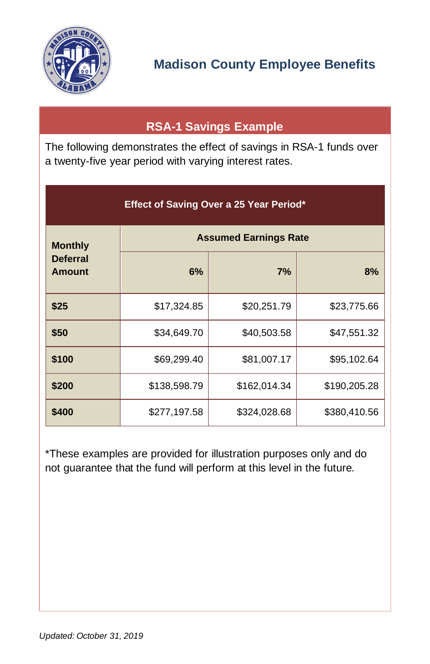

## **RSA-1 Savings Example**

<span id="page-14-0"></span>The following demonstrates the effect of savings in RSA-1 funds over a twenty-five year period with varying interest rates.

| Effect of Saving Over a 25 Year Period* |              |                              |              |  |  |
|-----------------------------------------|--------------|------------------------------|--------------|--|--|
| <b>Monthly</b>                          |              | <b>Assumed Earnings Rate</b> |              |  |  |
| <b>Deferral</b><br><b>Amount</b>        | 6%           | 7%                           | 8%           |  |  |
| \$25                                    | \$17,324.85  | \$20,251.79                  | \$23,775.66  |  |  |
| \$50                                    | \$34,649.70  | \$40,503.58                  | \$47,551.32  |  |  |
| \$100                                   | \$69,299.40  | \$81,007.17                  | \$95,102.64  |  |  |
| \$200                                   | \$138,598.79 | \$162,014.34                 | \$190,205.28 |  |  |
| \$400                                   | \$277,197.58 | \$324,028.68                 | \$380,410.56 |  |  |

\*These examples are provided for illustration purposes only and do not guarantee that the fund will perform at this level in the future.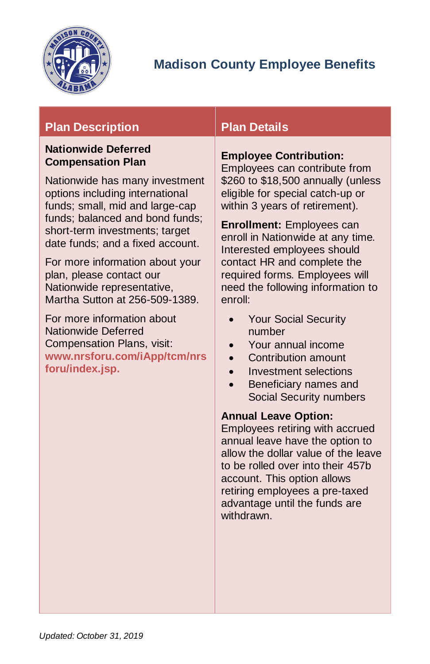

### **Plan Description Plan Details**

#### <span id="page-15-0"></span>**Nationwide Deferred Compensation Plan**

Nationwide has many investment options including international funds; small, mid and large-cap funds; balanced and bond funds; short-term investments; target date funds; and a fixed account.

For more information about your plan, please contact our Nationwide representative, Martha Sutton at 256-509-1389.

For more information about Nationwide Deferred Compensation Plans, visit: **[www.nrsforu.com/iApp/tcm/nrs](https://www.nrsforu.com/iApp/tcm/nrsforu/index.jsp) [foru/index.jsp.](https://www.nrsforu.com/iApp/tcm/nrsforu/index.jsp)**

#### **Employee Contribution:**

Employees can contribute from \$260 to \$18,500 annually (unless eligible for special catch-up or within 3 years of retirement).

**Enrollment:** Employees can enroll in Nationwide at any time. Interested employees should contact HR and complete the required forms. Employees will need the following information to enroll:

- Your Social Security number
- Your annual income
- Contribution amount
- Investment selections
- Beneficiary names and Social Security numbers

#### **Annual Leave Option:**

Employees retiring with accrued annual leave have the option to allow the dollar value of the leave to be rolled over into their 457b account. This option allows retiring employees a pre-taxed advantage until the funds are withdrawn.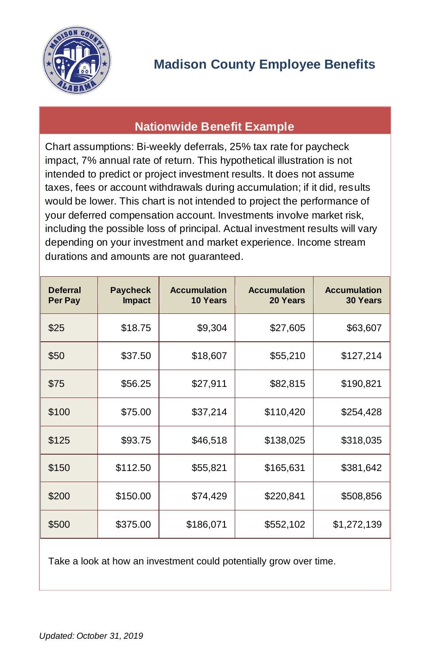

### **Nationwide Benefit Example**

<span id="page-16-0"></span>Chart assumptions: Bi-weekly deferrals, 25% tax rate for paycheck impact, 7% annual rate of return. This hypothetical illustration is not intended to predict or project investment results. It does not assume taxes, fees or account withdrawals during accumulation; if it did, results would be lower. This chart is not intended to project the performance of your deferred compensation account. Investments involve market risk, including the possible loss of principal. Actual investment results will vary depending on your investment and market experience. Income stream durations and amounts are not guaranteed.

| <b>Deferral</b><br>Per Pay | <b>Paycheck</b><br><b>Impact</b> | <b>Accumulation</b><br>10 Years | <b>Accumulation</b><br>20 Years | <b>Accumulation</b><br><b>30 Years</b> |
|----------------------------|----------------------------------|---------------------------------|---------------------------------|----------------------------------------|
| \$25                       | \$18.75                          | \$9,304                         | \$27,605                        | \$63,607                               |
| \$50                       | \$37.50                          | \$18,607                        | \$55,210                        | \$127,214                              |
| \$75                       | \$56.25                          | \$27,911                        | \$82,815                        | \$190,821                              |
| \$100                      | \$75.00                          | \$37,214                        | \$110,420                       | \$254,428                              |
| \$125                      | \$93.75                          | \$46,518                        | \$138,025                       | \$318,035                              |
| \$150                      | \$112.50                         | \$55,821                        | \$165,631                       | \$381,642                              |
| \$200                      | \$150.00                         | \$74,429                        | \$220,841                       | \$508,856                              |
| \$500                      | \$375.00                         | \$186,071                       | \$552,102                       | \$1,272,139                            |

Take a look at how an investment could potentially grow over time.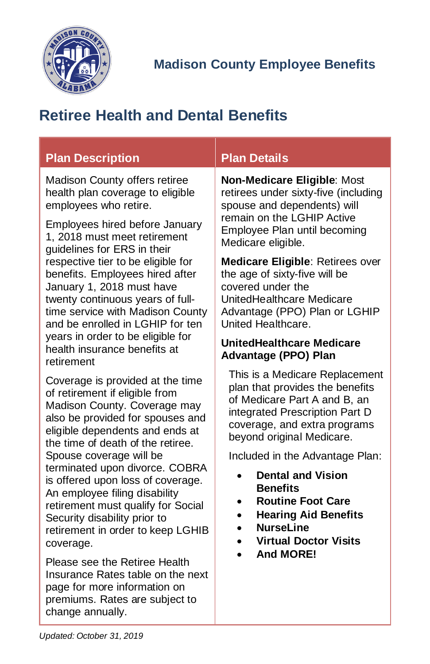

# <span id="page-17-0"></span>**Retiree Health and Dental Benefits**

# **Plan Description Plan Details**

Madison County offers retiree health plan coverage to eligible employees who retire.

Employees hired before January 1, 2018 must meet retirement guidelines for ERS in their respective tier to be eligible for benefits. Employees hired after January 1, 2018 must have twenty continuous years of fulltime service with Madison County and be enrolled in LGHIP for ten years in order to be eligible for health insurance benefits at retirement

Coverage is provided at the time of retirement if eligible from Madison County. Coverage may also be provided for spouses and eligible dependents and ends at the time of death of the retiree. Spouse coverage will be terminated upon divorce. COBRA is offered upon loss of coverage. An employee filing disability retirement must qualify for Social Security disability prior to retirement in order to keep LGHIB coverage.

Please see the Retiree Health Insurance Rates table on the next page for more information on premiums. Rates are subject to change annually.

**Non-Medicare Eligible**: Most retirees under sixty-five (including spouse and dependents) will remain on the LGHIP Active Employee Plan until becoming Medicare eligible.

**Medicare Eligible**: Retirees over the age of sixty-five will be covered under the UnitedHealthcare Medicare Advantage (PPO) Plan or LGHIP United Healthcare.

#### <span id="page-17-1"></span>**UnitedHealthcare Medicare Advantage (PPO) Plan**

This is a Medicare Replacement plan that provides the benefits of Medicare Part A and B, an integrated Prescription Part D coverage, and extra programs bevond original Medicare.

Included in the Advantage Plan:

- **Dental and Vision Benefits**
- **Routine Foot Care**
- **Hearing Aid Benefits**
- **NurseLine**
- **Virtual Doctor Visits**
- **And MORE!**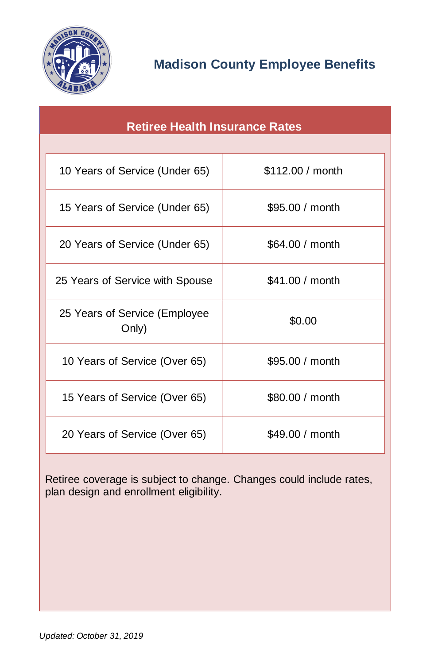

<span id="page-18-0"></span>

| <b>Retiree Health Insurance Rates</b>  |                  |  |
|----------------------------------------|------------------|--|
|                                        |                  |  |
| 10 Years of Service (Under 65)         | \$112.00 / month |  |
| 15 Years of Service (Under 65)         | \$95.00 / month  |  |
| 20 Years of Service (Under 65)         | \$64.00 / month  |  |
| 25 Years of Service with Spouse        | \$41.00 / month  |  |
| 25 Years of Service (Employee<br>Only) | \$0.00           |  |
| 10 Years of Service (Over 65)          | \$95.00 / month  |  |
| 15 Years of Service (Over 65)          | \$80.00 / month  |  |
| 20 Years of Service (Over 65)          | \$49.00 / month  |  |

Retiree coverage is subject to change. Changes could include rates, plan design and enrollment eligibility.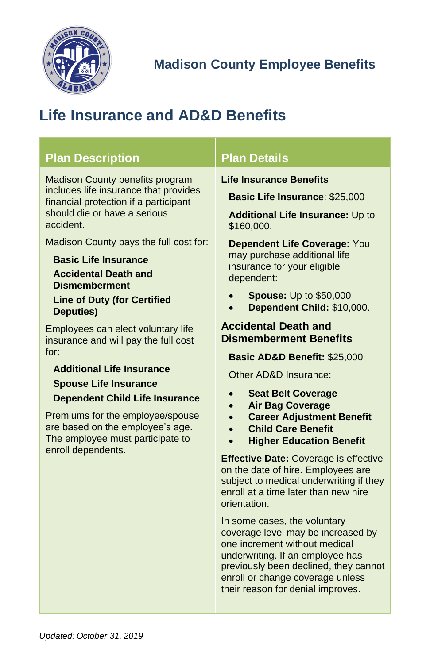

# <span id="page-19-0"></span>**Life Insurance and AD&D Benefits**

<span id="page-19-1"></span>

| <b>Plan Description</b>                                                                                                                                                                                                                                                                                                                                                                                                                                                                                                                                                                                                                                                                       | <b>Plan Details</b>                                                                                                                                                                                                                                                                                                                                                                                                                                                                                                                                                                                                                                                                                                                                                                                                                                                                                                                                                                                                                          |
|-----------------------------------------------------------------------------------------------------------------------------------------------------------------------------------------------------------------------------------------------------------------------------------------------------------------------------------------------------------------------------------------------------------------------------------------------------------------------------------------------------------------------------------------------------------------------------------------------------------------------------------------------------------------------------------------------|----------------------------------------------------------------------------------------------------------------------------------------------------------------------------------------------------------------------------------------------------------------------------------------------------------------------------------------------------------------------------------------------------------------------------------------------------------------------------------------------------------------------------------------------------------------------------------------------------------------------------------------------------------------------------------------------------------------------------------------------------------------------------------------------------------------------------------------------------------------------------------------------------------------------------------------------------------------------------------------------------------------------------------------------|
| Madison County benefits program<br>includes life insurance that provides<br>financial protection if a participant<br>should die or have a serious<br>accident.<br>Madison County pays the full cost for:<br><b>Basic Life Insurance</b><br><b>Accidental Death and</b><br><b>Dismemberment</b><br><b>Line of Duty (for Certified</b><br><b>Deputies)</b><br>Employees can elect voluntary life<br>insurance and will pay the full cost<br>for:<br><b>Additional Life Insurance</b><br><b>Spouse Life Insurance</b><br><b>Dependent Child Life Insurance</b><br>Premiums for the employee/spouse<br>are based on the employee's age.<br>The employee must participate to<br>enroll dependents. | <b>Life Insurance Benefits</b><br><b>Basic Life Insurance: \$25,000</b><br><b>Additional Life Insurance: Up to</b><br>\$160,000.<br>Dependent Life Coverage: You<br>may purchase additional life<br>insurance for your eligible<br>dependent:<br><b>Spouse:</b> Up to \$50,000<br>Dependent Child: \$10,000.<br><b>Accidental Death and</b><br><b>Dismemberment Benefits</b><br>Basic AD&D Benefit: \$25,000<br>Other AD&D Insurance:<br><b>Seat Belt Coverage</b><br>$\bullet$<br><b>Air Bag Coverage</b><br><b>Career Adjustment Benefit</b><br><b>Child Care Benefit</b><br><b>Higher Education Benefit</b><br>$\bullet$<br><b>Effective Date: Coverage is effective</b><br>on the date of hire. Employees are<br>subject to medical underwriting if they<br>enroll at a time later than new hire<br>orientation.<br>In some cases, the voluntary<br>coverage level may be increased by<br>one increment without medical<br>underwriting. If an employee has<br>previously been declined, they cannot<br>enroll or change coverage unless |

their reason for denial improves.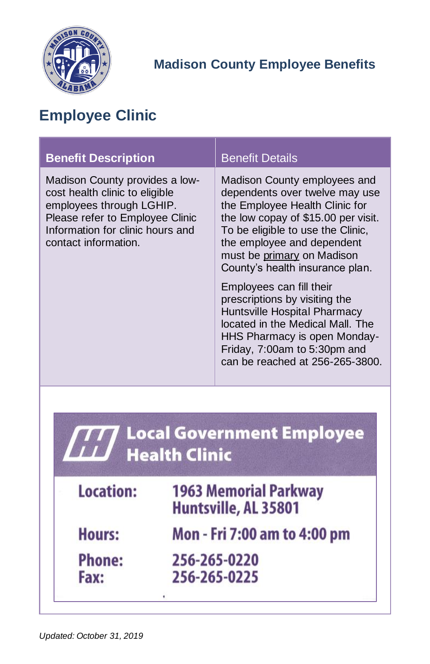

# <span id="page-20-0"></span>**Employee Clinic**

| <b>Benefit Description</b>                                                                                                                                                                  | <b>Benefit Details</b>                                                                                                                                                                                                                                                      |  |
|---------------------------------------------------------------------------------------------------------------------------------------------------------------------------------------------|-----------------------------------------------------------------------------------------------------------------------------------------------------------------------------------------------------------------------------------------------------------------------------|--|
| Madison County provides a low-<br>cost health clinic to eligible<br>employees through LGHIP.<br>Please refer to Employee Clinic<br>Information for clinic hours and<br>contact information. | Madison County employees and<br>dependents over twelve may use<br>the Employee Health Clinic for<br>the low copay of \$15.00 per visit.<br>To be eligible to use the Clinic,<br>the employee and dependent<br>must be primary on Madison<br>County's health insurance plan. |  |
|                                                                                                                                                                                             | Employees can fill their<br>prescriptions by visiting the<br>Huntsville Hospital Pharmacy<br>located in the Medical Mall. The<br>HHS Pharmacy is open Monday-<br>Friday, 7:00am to 5:30pm and<br>can be reached at 256-265-3800.                                            |  |
| Local Government Employee<br><b>Health Clinic</b>                                                                                                                                           |                                                                                                                                                                                                                                                                             |  |
| <b>Location:</b>                                                                                                                                                                            | <b>1963 Memorial Parkway</b><br>Huntsville, AL 35801                                                                                                                                                                                                                        |  |

| <b>Hours:</b> | Mon - Fri 7:00 am to 4:00 pm |  |  |
|---------------|------------------------------|--|--|
|               |                              |  |  |

256-265-0220 256-265-0225

ï

Fax:

**Phone:**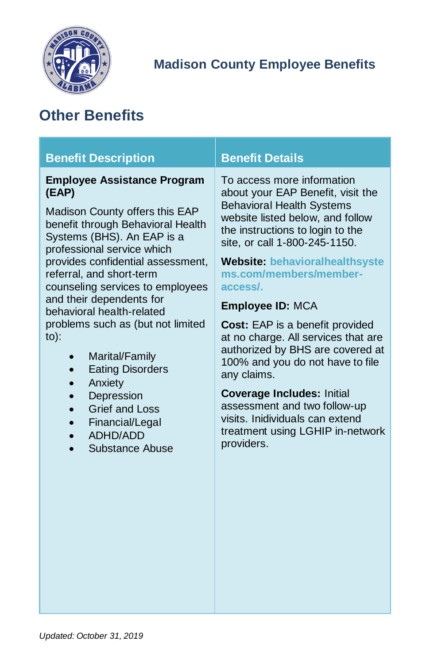

# <span id="page-21-0"></span>**Other Benefits**

<span id="page-21-1"></span>

| <b>Benefit Description</b>                                                                                                                                                                                                                                                                                                                                                                                                                                                                                                                                              | <b>Benefit Details</b>                                                                                                                                                                                                                                                                                                                                                                                                                                                                                                                                                                                                                                  |
|-------------------------------------------------------------------------------------------------------------------------------------------------------------------------------------------------------------------------------------------------------------------------------------------------------------------------------------------------------------------------------------------------------------------------------------------------------------------------------------------------------------------------------------------------------------------------|---------------------------------------------------------------------------------------------------------------------------------------------------------------------------------------------------------------------------------------------------------------------------------------------------------------------------------------------------------------------------------------------------------------------------------------------------------------------------------------------------------------------------------------------------------------------------------------------------------------------------------------------------------|
| <b>Employee Assistance Program</b><br>(EAP)<br>Madison County offers this EAP<br>benefit through Behavioral Health<br>Systems (BHS). An EAP is a<br>professional service which<br>provides confidential assessment,<br>referral, and short-term<br>counseling services to employees<br>and their dependents for<br>behavioral health-related<br>problems such as (but not limited<br>$to)$ :<br>Marital/Family<br><b>Eating Disorders</b><br>Anxiety<br>$\bullet$<br>Depression<br>$\bullet$<br><b>Grief and Loss</b><br>Financial/Legal<br>ADHD/ADD<br>Substance Abuse | To access more information<br>about your EAP Benefit, visit the<br><b>Behavioral Health Systems</b><br>website listed below, and follow<br>the instructions to login to the<br>site, or call 1-800-245-1150.<br><b>Website: behavioralhealthsyste</b><br>ms.com/members/member-<br>access/<br><b>Employee ID: MCA</b><br><b>Cost:</b> EAP is a benefit provided<br>at no charge. All services that are<br>authorized by BHS are covered at<br>100% and you do not have to file<br>any claims.<br><b>Coverage Includes: Initial</b><br>assessment and two follow-up<br>visits. Inidividuals can extend<br>treatment using LGHIP in-network<br>providers. |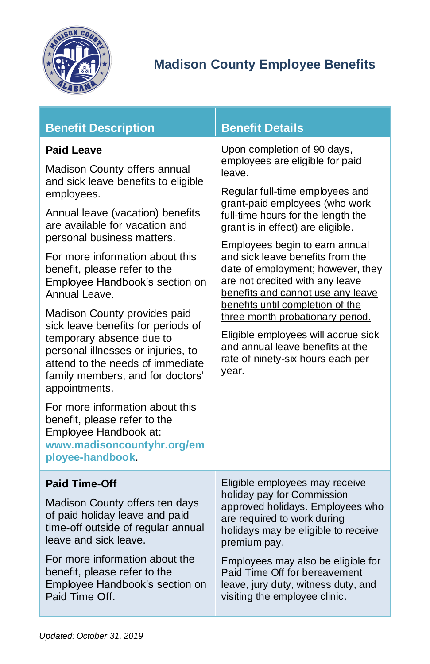

| <b>Benefit Description</b> |
|----------------------------|
|                            |

#### <span id="page-22-0"></span>**Paid Leave**

Madison County offers annual and sick leave benefits to eligible employees.

Annual leave (vacation) benefits are available for vacation and personal business matters.

For more information about this benefit, please refer to the [Employee Handbook's](http://madisoncountyal.gov/home/showdocument?id=4226) section on Annual Leave.

Madison County provides paid sick leave benefits for periods of temporary absence due to personal illnesses or injuries, to attend to the needs of immediate family members, and for doctors' appointments.

For more information about this benefit, please refer to the Employee Handbook at: **[www.madisoncountyhr.org/](http://www.madisoncountyhr.org/)em ployee-handbook**.

### **Benefit Details**

Upon completion of 90 days, employees are eligible for paid leave.

Regular full-time employees and grant-paid employees (who work full-time hours for the length the grant is in effect) are eligible.

Employees begin to earn annual and sick leave benefits from the date of employment; however, they are not credited with any leave benefits and cannot use any leave benefits until completion of the three month probationary period.

Eligible employees will accrue sick and annual leave benefits at the rate of ninety-six hours each per year.

<span id="page-22-1"></span>**Paid Time-Off**

Madison County offers ten days of paid holiday leave and paid time-off outside of regular annual leave and sick leave.

For more information about the benefit, please refer to the [Employee Handbook's](http://madisoncountyal.gov/home/showdocument?id=4226) section on Paid Time Off.

Eligible employees may receive holiday pay for Commission approved holidays. Employees who are required to work during holidays may be eligible to receive premium pay.

Employees may also be eligible for Paid Time Off for bereavement leave, jury duty, witness duty, and visiting the employee clinic.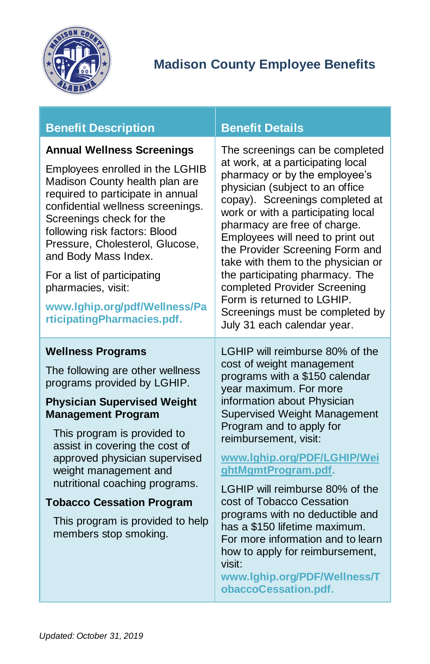

### **Benefit Description Benefit Details**

#### <span id="page-23-0"></span>**Annual Wellness Screenings**

Employees enrolled in the LGHIB Madison County health plan are required to participate in annual confidential wellness screenings. Screenings check for the following risk factors: Blood Pressure, Cholesterol, Glucose, and Body Mass Index.

For a list of participating pharmacies, visit:

**[www.lghip.org/pdf/Wellness/Pa](http://www.lghip.org/pdf/Wellness/ParticipatingPharmacies.pdf) [rticipatingPharmacies.pdf.](http://www.lghip.org/pdf/Wellness/ParticipatingPharmacies.pdf)**

#### <span id="page-23-1"></span>**Wellness Programs**

The following are other wellness programs provided by LGHIP.

#### **Physician Supervised Weight Management Program**

This program is provided to assist in covering the cost of approved physician supervised weight management and nutritional coaching programs.

#### **Tobacco Cessation Program**

This program is provided to help members stop smoking.

The screenings can be completed at work, at a participating local pharmacy or by the employee's physician (subject to an office copay). Screenings completed at work or with a participating local pharmacy are free of charge. Employees will need to print out the [Provider Screening Form](http://38.106.4.246/home/showdocument?id=2448) and take with them to the physician or the participating pharmacy. The completed Provider Screening Form is returned to LGHIP. Screenings must be completed by July 31 each calendar year.

LGHIP will reimburse 80% of the cost of weight management programs with a \$150 calendar year maximum. For more information about Physician Supervised Weight Management Program and to apply for reimbursement, visit:

#### **[www.lghip.org/PDF/LGHIP/Wei](http://www.lghip.org/PDF/LGHIP/WeightMgmtProgram.pdf) [ghtMgmtProgram.pdf.](http://www.lghip.org/PDF/LGHIP/WeightMgmtProgram.pdf)**

LGHIP will reimburse 80% of the cost of Tobacco Cessation programs with no deductible and has a \$150 lifetime maximum. For more information and to learn how to apply for reimbursement, visit:

**[www.lghip.org/PDF/Wellness/T](http://www.lghip.org/PDF/Wellness/TobaccoCessation.pdf) [obaccoCessation.pdf.](http://www.lghip.org/PDF/Wellness/TobaccoCessation.pdf)**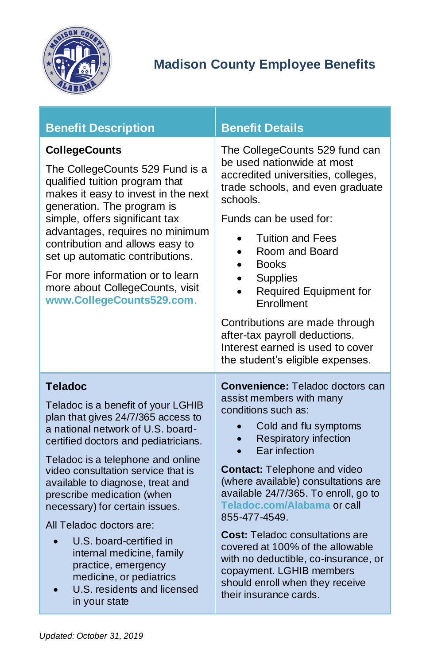

<span id="page-24-1"></span><span id="page-24-0"></span>

| <b>Benefit Description</b>                                                                                                                                                                                                                                                                                                                                                                                                                                                                                                                   | <b>Benefit Details</b>                                                                                                                                                                                                                                                                                                                                                                                                                                                                                                                                    |
|----------------------------------------------------------------------------------------------------------------------------------------------------------------------------------------------------------------------------------------------------------------------------------------------------------------------------------------------------------------------------------------------------------------------------------------------------------------------------------------------------------------------------------------------|-----------------------------------------------------------------------------------------------------------------------------------------------------------------------------------------------------------------------------------------------------------------------------------------------------------------------------------------------------------------------------------------------------------------------------------------------------------------------------------------------------------------------------------------------------------|
| <b>CollegeCounts</b><br>The CollegeCounts 529 Fund is a<br>qualified tuition program that<br>makes it easy to invest in the next<br>generation. The program is<br>simple, offers significant tax<br>advantages, requires no minimum<br>contribution and allows easy to<br>set up automatic contributions.<br>For more information or to learn<br>more about CollegeCounts, visit<br>www.CollegeCounts529.com.                                                                                                                                | The CollegeCounts 529 fund can<br>be used nationwide at most<br>accredited universities, colleges,<br>trade schools, and even graduate<br>schools.<br>Funds can be used for:<br><b>Tuition and Fees</b><br>$\bullet$<br>Room and Board<br>$\bullet$<br><b>Books</b><br>$\bullet$<br><b>Supplies</b><br>Required Equipment for<br>Enrollment<br>Contributions are made through<br>after-tax payroll deductions.<br>Interest earned is used to cover                                                                                                        |
|                                                                                                                                                                                                                                                                                                                                                                                                                                                                                                                                              | the student's eligible expenses.                                                                                                                                                                                                                                                                                                                                                                                                                                                                                                                          |
| <b>Teladoc</b><br>Teladoc is a benefit of your LGHIB<br>plan that gives 24/7/365 access to<br>a national network of U.S. board-<br>certified doctors and pediatricians.<br>Teladoc is a telephone and online<br>video consultation service that is<br>available to diagnose, treat and<br>prescribe medication (when<br>necessary) for certain issues.<br>All Teladoc doctors are:<br>U.S. board-certified in<br>internal medicine, family<br>practice, emergency<br>medicine, or pediatrics<br>U.S. residents and licensed<br>in your state | <b>Convenience: Teladoc doctors can</b><br>assist members with many<br>conditions such as:<br>Cold and flu symptoms<br><b>Respiratory infection</b><br>Ear infection<br><b>Contact: Telephone and video</b><br>(where available) consultations are<br>available 24/7/365. To enroll, go to<br>Teladoc.com/Alabama or call<br>855-477-4549.<br><b>Cost: Teladoc consultations are</b><br>covered at 100% of the allowable<br>with no deductible, co-insurance, or<br>copayment. LGHIB members<br>should enroll when they receive<br>their insurance cards. |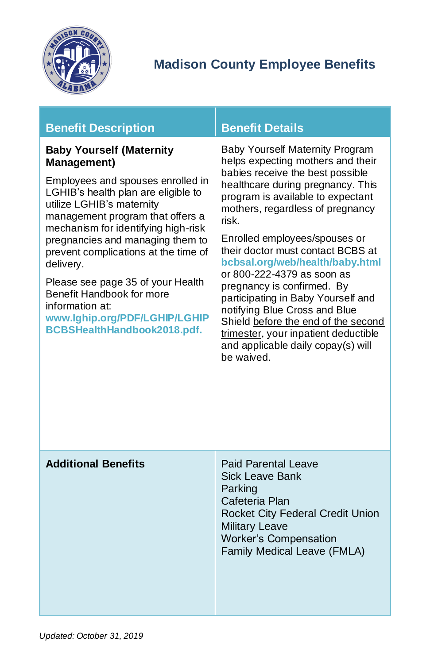

<span id="page-25-1"></span><span id="page-25-0"></span>

| <b>Benefit Description</b>                                                                                                                                                                                                                                                                                                                                                                                                                                                              | <b>Benefit Details</b>                                                                                                                                                                                                                                                                                                                                                                                                                                                                                                                                                                                         |
|-----------------------------------------------------------------------------------------------------------------------------------------------------------------------------------------------------------------------------------------------------------------------------------------------------------------------------------------------------------------------------------------------------------------------------------------------------------------------------------------|----------------------------------------------------------------------------------------------------------------------------------------------------------------------------------------------------------------------------------------------------------------------------------------------------------------------------------------------------------------------------------------------------------------------------------------------------------------------------------------------------------------------------------------------------------------------------------------------------------------|
| <b>Baby Yourself (Maternity</b><br><b>Management)</b><br>Employees and spouses enrolled in<br>LGHIB's health plan are eligible to<br>utilize LGHIB's maternity<br>management program that offers a<br>mechanism for identifying high-risk<br>pregnancies and managing them to<br>prevent complications at the time of<br>delivery.<br>Please see page 35 of your Health<br>Benefit Handbook for more<br>information at:<br>www.lghip.org/PDF/LGHIP/LGHIP<br>BCBSHealthHandbook2018.pdf. | Baby Yourself Maternity Program<br>helps expecting mothers and their<br>babies receive the best possible<br>healthcare during pregnancy. This<br>program is available to expectant<br>mothers, regardless of pregnancy<br>risk.<br>Enrolled employees/spouses or<br>their doctor must contact BCBS at<br>bcbsal.org/web/health/baby.html<br>or 800-222-4379 as soon as<br>pregnancy is confirmed. By<br>participating in Baby Yourself and<br>notifying Blue Cross and Blue<br>Shield before the end of the second<br>trimester, your inpatient deductible<br>and applicable daily copay(s) will<br>be waived. |
| <b>Additional Benefits</b>                                                                                                                                                                                                                                                                                                                                                                                                                                                              | <b>Paid Parental Leave</b><br><b>Sick Leave Bank</b><br>Parking<br>Cafeteria Plan<br>Rocket City Federal Credit Union<br><b>Military Leave</b><br><b>Worker's Compensation</b><br>Family Medical Leave (FMLA)                                                                                                                                                                                                                                                                                                                                                                                                  |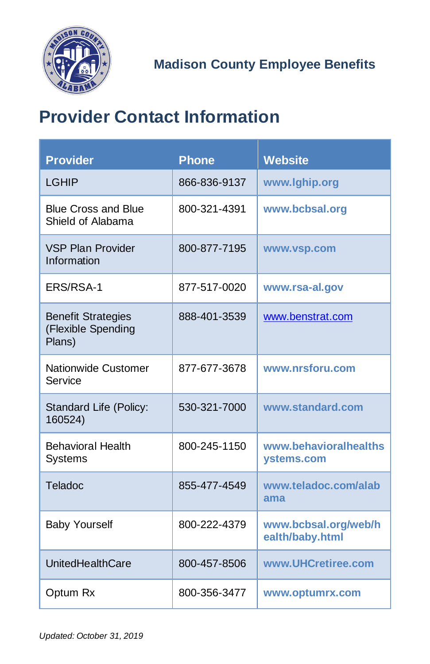

# <span id="page-26-0"></span>**Provider Contact Information**

| <b>Provider</b>                                           | <b>Phone</b> | <b>Website</b>                          |
|-----------------------------------------------------------|--------------|-----------------------------------------|
| LGHIP                                                     | 866-836-9137 | www.lghip.org                           |
| <b>Blue Cross and Blue</b><br>Shield of Alabama           | 800-321-4391 | www.bcbsal.org                          |
| <b>VSP Plan Provider</b><br>Information                   | 800-877-7195 | www.vsp.com                             |
| ERS/RSA-1                                                 | 877-517-0020 | www.rsa-al.gov                          |
| <b>Benefit Strategies</b><br>(Flexible Spending<br>Plans) | 888-401-3539 | www.benstrat.com                        |
| <b>Nationwide Customer</b><br>Service                     | 877-677-3678 | www.nrsforu.com                         |
| Standard Life (Policy:<br>160524)                         | 530-321-7000 | www.standard.com                        |
| <b>Behavioral Health</b><br><b>Systems</b>                | 800-245-1150 | www.behavioralhealths<br>ystems.com     |
| Teladoc                                                   | 855-477-4549 | www.teladoc.com/alab<br>ama             |
| <b>Baby Yourself</b>                                      | 800-222-4379 | www.bcbsal.org/web/h<br>ealth/baby.html |
| <b>UnitedHealthCare</b>                                   | 800-457-8506 | www.UHCretiree.com                      |
| Optum Rx                                                  | 800-356-3477 | www.optumrx.com                         |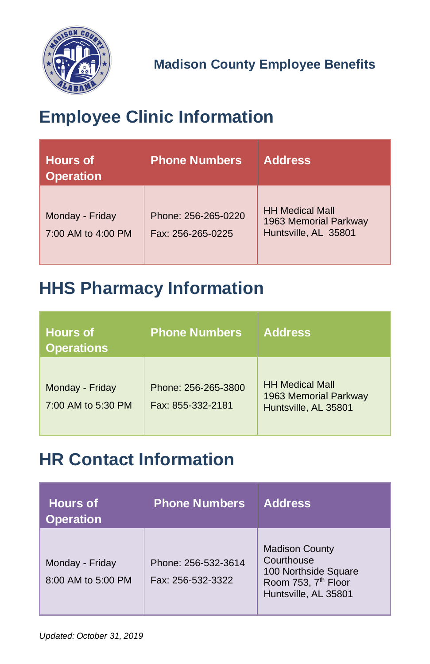

# <span id="page-27-0"></span>**Employee Clinic Information**

| <b>Hours of</b><br><b>Operation</b>   | <b>Phone Numbers</b>                     | <b>Address</b>                                                          |
|---------------------------------------|------------------------------------------|-------------------------------------------------------------------------|
| Monday - Friday<br>7:00 AM to 4:00 PM | Phone: 256-265-0220<br>Fax: 256-265-0225 | <b>HH Medical Mall</b><br>1963 Memorial Parkway<br>Huntsville, AL 35801 |

# <span id="page-27-1"></span>**HHS Pharmacy Information**

| <b>Hours</b> of<br><b>Operations</b>  | <b>Phone Numbers</b>                     | <b>Address</b>                                                          |
|---------------------------------------|------------------------------------------|-------------------------------------------------------------------------|
| Monday - Friday<br>7:00 AM to 5:30 PM | Phone: 256-265-3800<br>Fax: 855-332-2181 | <b>HH Medical Mall</b><br>1963 Memorial Parkway<br>Huntsville, AL 35801 |

# <span id="page-27-2"></span>**HR Contact Information**

| <b>Hours of</b><br><b>Operation</b>   | <b>Phone Numbers</b>                     | <b>Address</b>                                                                                                         |
|---------------------------------------|------------------------------------------|------------------------------------------------------------------------------------------------------------------------|
| Monday - Friday<br>8:00 AM to 5:00 PM | Phone: 256-532-3614<br>Fax: 256-532-3322 | <b>Madison County</b><br>Courthouse<br>100 Northside Square<br>Room 753, 7 <sup>th</sup> Floor<br>Huntsville, AL 35801 |